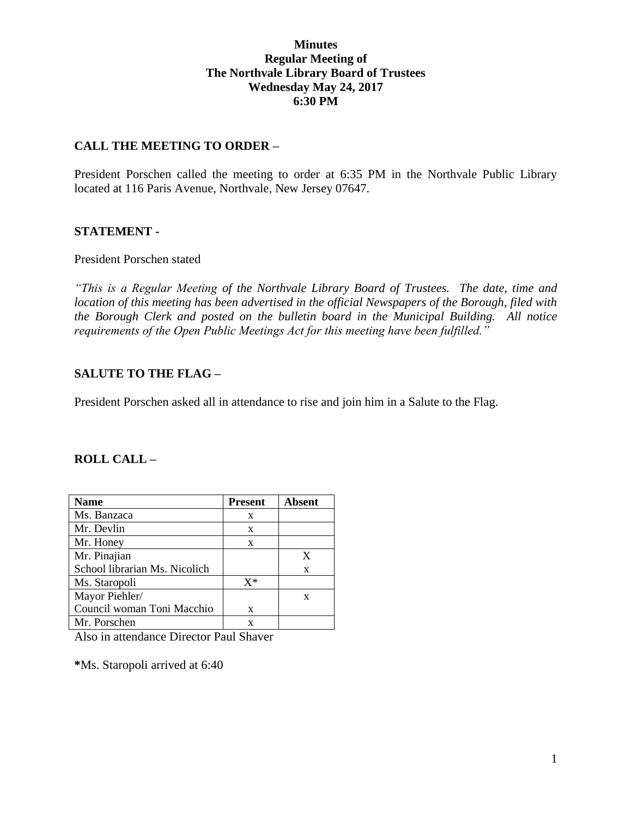## **Minutes Regular Meeting of The Northvale Library Board of Trustees Wednesday May 24, 2017 6:30 PM**

## **CALL THE MEETING TO ORDER –**

President Porschen called the meeting to order at 6:35 PM in the Northvale Public Library located at 116 Paris Avenue, Northvale, New Jersey 07647.

#### **STATEMENT -**

#### President Porschen stated

*"This is a Regular Meeting of the Northvale Library Board of Trustees. The date, time and location of this meeting has been advertised in the official Newspapers of the Borough, filed with the Borough Clerk and posted on the bulletin board in the Municipal Building. All notice requirements of the Open Public Meetings Act for this meeting have been fulfilled."* 

## **SALUTE TO THE FLAG –**

President Porschen asked all in attendance to rise and join him in a Salute to the Flag.

# **ROLL CALL –**

| <b>Name</b>                   | <b>Present</b> | Absent |
|-------------------------------|----------------|--------|
| Ms. Banzaca                   | X              |        |
| Mr. Devlin                    | X              |        |
| Mr. Honey                     | X              |        |
| Mr. Pinajian                  |                | X      |
| School librarian Ms. Nicolich |                | X      |
| Ms. Staropoli                 | $\mathbf{X}^*$ |        |
| Mayor Piehler/                |                | X      |
| Council woman Toni Macchio    | X              |        |
| Mr. Porschen                  | X              |        |

Also in attendance Director Paul Shaver

**\***Ms. Staropoli arrived at 6:40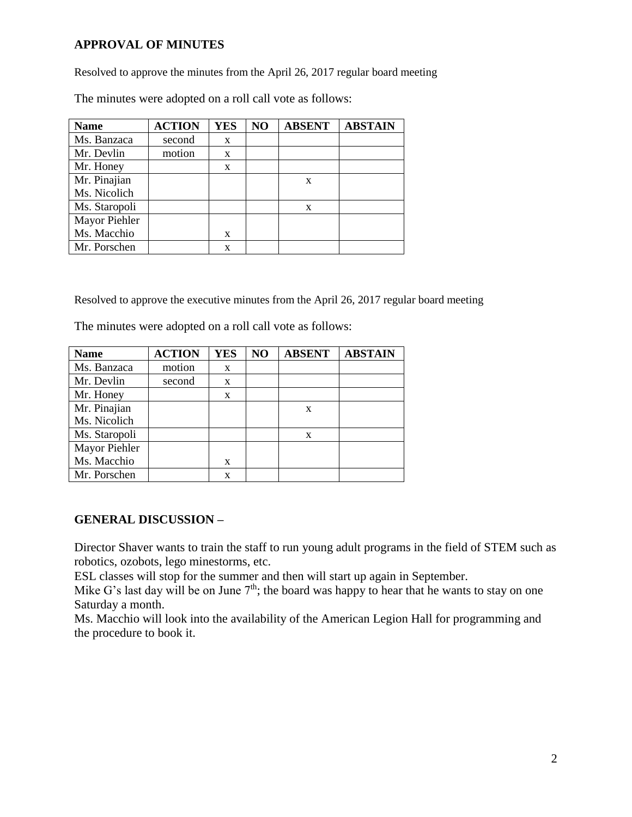# **APPROVAL OF MINUTES**

Resolved to approve the minutes from the April 26, 2017 regular board meeting

The minutes were adopted on a roll call vote as follows:

| <b>Name</b>   | <b>ACTION</b> | <b>YES</b> | NO | <b>ABSENT</b> | <b>ABSTAIN</b> |
|---------------|---------------|------------|----|---------------|----------------|
| Ms. Banzaca   | second        | X          |    |               |                |
| Mr. Devlin    | motion        | X          |    |               |                |
| Mr. Honey     |               | X          |    |               |                |
| Mr. Pinajian  |               |            |    | X             |                |
| Ms. Nicolich  |               |            |    |               |                |
| Ms. Staropoli |               |            |    | X             |                |
| Mayor Piehler |               |            |    |               |                |
| Ms. Macchio   |               | X          |    |               |                |
| Mr. Porschen  |               | X          |    |               |                |

Resolved to approve the executive minutes from the April 26, 2017 regular board meeting

The minutes were adopted on a roll call vote as follows:

| <b>Name</b>   | <b>ACTION</b> | <b>YES</b>   | NO | <b>ABSENT</b> | <b>ABSTAIN</b> |
|---------------|---------------|--------------|----|---------------|----------------|
| Ms. Banzaca   | motion        | X            |    |               |                |
| Mr. Devlin    | second        | X            |    |               |                |
| Mr. Honey     |               | $\mathbf{x}$ |    |               |                |
| Mr. Pinajian  |               |              |    | X             |                |
| Ms. Nicolich  |               |              |    |               |                |
| Ms. Staropoli |               |              |    | X             |                |
| Mayor Piehler |               |              |    |               |                |
| Ms. Macchio   |               | X            |    |               |                |
| Mr. Porschen  |               | X            |    |               |                |

# **GENERAL DISCUSSION –**

Director Shaver wants to train the staff to run young adult programs in the field of STEM such as robotics, ozobots, lego minestorms, etc.

ESL classes will stop for the summer and then will start up again in September.

Mike G's last day will be on June  $7<sup>th</sup>$ ; the board was happy to hear that he wants to stay on one Saturday a month.

Ms. Macchio will look into the availability of the American Legion Hall for programming and the procedure to book it.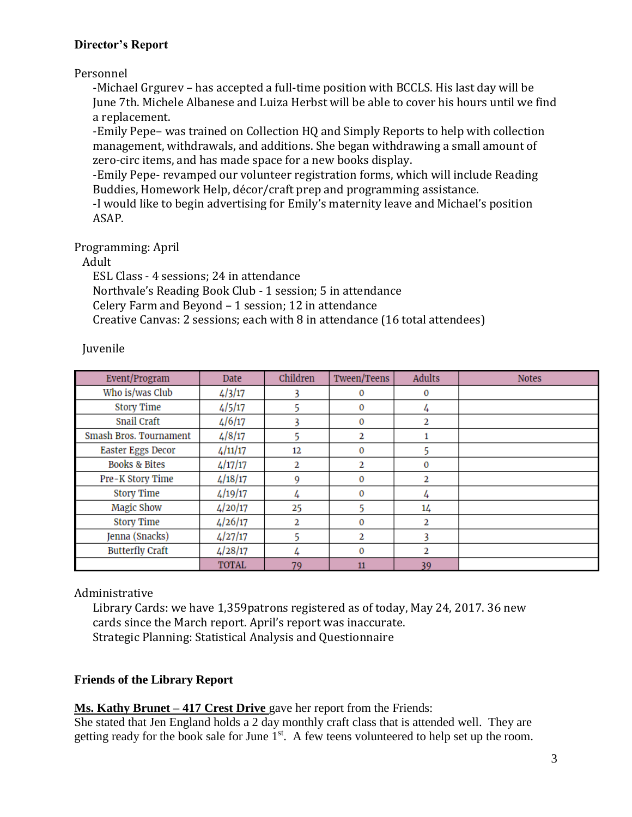# **Director's Report**

Personnel

-Michael Grgurev – has accepted a full-time position with BCCLS. His last day will be June 7th. Michele Albanese and Luiza Herbst will be able to cover his hours until we find a replacement.

-Emily Pepe– was trained on Collection HQ and Simply Reports to help with collection management, withdrawals, and additions. She began withdrawing a small amount of zero-circ items, and has made space for a new books display.

-Emily Pepe- revamped our volunteer registration forms, which will include Reading Buddies, Homework Help, décor/craft prep and programming assistance.

-I would like to begin advertising for Emily's maternity leave and Michael's position ASAP.

Programming: April

Adult

ESL Class - 4 sessions; 24 in attendance Northvale's Reading Book Club - 1 session; 5 in attendance Celery Farm and Beyond – 1 session; 12 in attendance Creative Canvas: 2 sessions; each with 8 in attendance (16 total attendees)

Juvenile

| Event/Program            | <b>Date</b>  | Children | Tween/Teens  | <b>Adults</b> | <b>Notes</b> |
|--------------------------|--------------|----------|--------------|---------------|--------------|
| Who is/was Club          | 4/3/17       |          | $\Omega$     | $\bf{0}$      |              |
| <b>Story Time</b>        | 4/5/17       |          | $\mathbf{0}$ | 4             |              |
| Snail Craft              | 4/6/17       | 3        | $\Omega$     | 2             |              |
| Smash Bros. Tournament   | 4/8/17       | 5        | 2            |               |              |
| Easter Eggs Decor        | 4/11/17      | 12       | $\Omega$     | 5             |              |
| <b>Books &amp; Bites</b> | 4/17/17      | 2        | 2            | 0             |              |
| Pre-K Story Time         | 4/18/17      | 9        | $\Omega$     | 2             |              |
| <b>Story Time</b>        | 4/19/17      |          | $\mathbf{0}$ | 4             |              |
| Magic Show               | 4/20/17      | 25       |              | 14            |              |
| <b>Story Time</b>        | 4/26/17      | 2        | $\Omega$     | 2             |              |
| Jenna (Snacks)           | 4/27/17      |          | 2            | 3             |              |
| <b>Butterfly Craft</b>   | 4/28/17      | 4        | $\Omega$     | 2             |              |
|                          | <b>TOTAL</b> | 79       | 11           | 39            |              |

Administrative

Library Cards: we have 1,359patrons registered as of today, May 24, 2017. 36 new cards since the March report. April's report was inaccurate. Strategic Planning: Statistical Analysis and Questionnaire

# **Friends of the Library Report**

**Ms. Kathy Brunet – 417 Crest Drive** gave her report from the Friends:

She stated that Jen England holds a 2 day monthly craft class that is attended well. They are getting ready for the book sale for June  $1<sup>st</sup>$ . A few teens volunteered to help set up the room.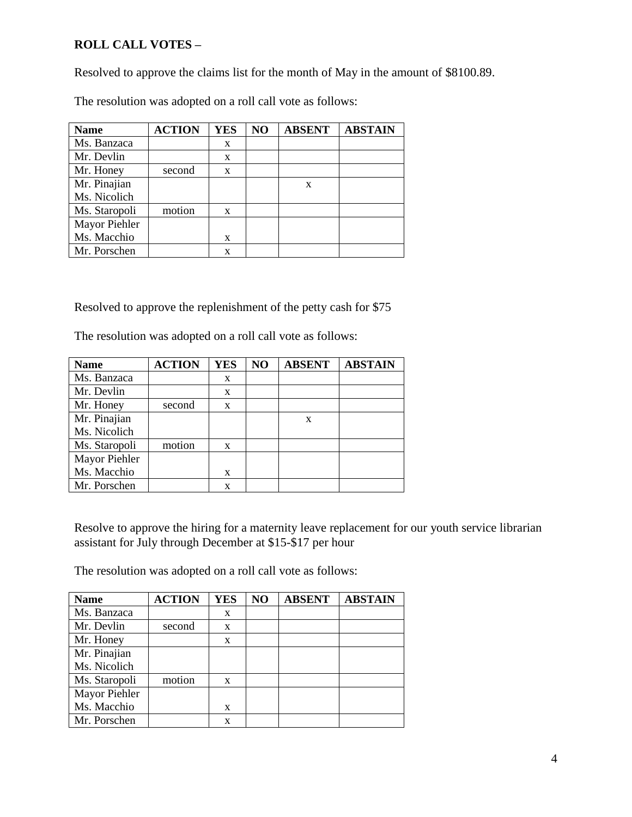# **ROLL CALL VOTES –**

Resolved to approve the claims list for the month of May in the amount of \$8100.89.

The resolution was adopted on a roll call vote as follows:

| <b>Name</b>   | <b>ACTION</b> | <b>YES</b>  | NO | <b>ABSENT</b> | <b>ABSTAIN</b> |
|---------------|---------------|-------------|----|---------------|----------------|
| Ms. Banzaca   |               | X           |    |               |                |
| Mr. Devlin    |               | X           |    |               |                |
| Mr. Honey     | second        | X           |    |               |                |
| Mr. Pinajian  |               |             |    | X             |                |
| Ms. Nicolich  |               |             |    |               |                |
| Ms. Staropoli | motion        | X           |    |               |                |
| Mayor Piehler |               |             |    |               |                |
| Ms. Macchio   |               | X           |    |               |                |
| Mr. Porschen  |               | $\mathbf x$ |    |               |                |

Resolved to approve the replenishment of the petty cash for \$75

The resolution was adopted on a roll call vote as follows:

| <b>Name</b>   | <b>ACTION</b> | <b>YES</b> | NO | <b>ABSENT</b> | <b>ABSTAIN</b> |
|---------------|---------------|------------|----|---------------|----------------|
| Ms. Banzaca   |               | X          |    |               |                |
| Mr. Devlin    |               | X          |    |               |                |
| Mr. Honey     | second        | X          |    |               |                |
| Mr. Pinajian  |               |            |    | X             |                |
| Ms. Nicolich  |               |            |    |               |                |
| Ms. Staropoli | motion        | X          |    |               |                |
| Mayor Piehler |               |            |    |               |                |
| Ms. Macchio   |               | X          |    |               |                |
| Mr. Porschen  |               | X          |    |               |                |

Resolve to approve the hiring for a maternity leave replacement for our youth service librarian assistant for July through December at \$15-\$17 per hour

The resolution was adopted on a roll call vote as follows:

| <b>Name</b>   | <b>ACTION</b> | <b>YES</b> | NO | <b>ABSENT</b> | <b>ABSTAIN</b> |
|---------------|---------------|------------|----|---------------|----------------|
| Ms. Banzaca   |               | X          |    |               |                |
| Mr. Devlin    | second        | X          |    |               |                |
| Mr. Honey     |               | X          |    |               |                |
| Mr. Pinajian  |               |            |    |               |                |
| Ms. Nicolich  |               |            |    |               |                |
| Ms. Staropoli | motion        | X          |    |               |                |
| Mayor Piehler |               |            |    |               |                |
| Ms. Macchio   |               | X          |    |               |                |
| Mr. Porschen  |               | x          |    |               |                |